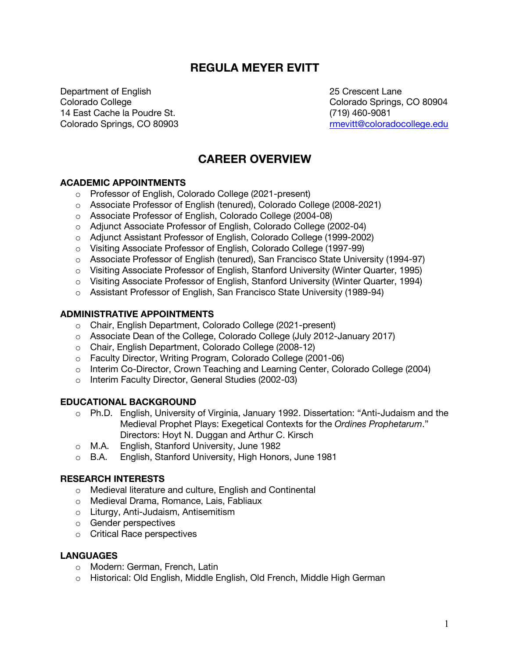## **REGULA MEYER EVITT**

Department of English 25 Crescent Lane Colorado College Colorado Springs, CO 80904 14 East Cache la Poudre St. (719) 460-9081 Colorado Springs, CO 80903 **and Coloradocollege.edu** coloradocollege.edu

## **CAREER OVERVIEW**

#### **ACADEMIC APPOINTMENTS**

- o Professor of English, Colorado College (2021-present)
- o Associate Professor of English (tenured), Colorado College (2008-2021)
- o Associate Professor of English, Colorado College (2004-08)
- o Adjunct Associate Professor of English, Colorado College (2002-04)
- o Adjunct Assistant Professor of English, Colorado College (1999-2002)
- o Visiting Associate Professor of English, Colorado College (1997-99)
- o Associate Professor of English (tenured), San Francisco State University (1994-97)
- o Visiting Associate Professor of English, Stanford University (Winter Quarter, 1995)
- o Visiting Associate Professor of English, Stanford University (Winter Quarter, 1994)
- o Assistant Professor of English, San Francisco State University (1989-94)

#### **ADMINISTRATIVE APPOINTMENTS**

- o Chair, English Department, Colorado College (2021-present)
- $\circ$  Associate Dean of the College, Colorado College (July 2012-January 2017)
- o Chair, English Department, Colorado College (2008-12)
- o Faculty Director, Writing Program, Colorado College (2001-06)
- o Interim Co-Director, Crown Teaching and Learning Center, Colorado College (2004)
- o Interim Faculty Director, General Studies (2002-03)

#### **EDUCATIONAL BACKGROUND**

- o Ph.D. English, University of Virginia, January 1992. Dissertation: "Anti-Judaism and the Medieval Prophet Plays: Exegetical Contexts for the *Ordines Prophetarum*." Directors: Hoyt N. Duggan and Arthur C. Kirsch
- o M.A. English, Stanford University, June 1982
- o B.A. English, Stanford University, High Honors, June 1981

#### **RESEARCH INTERESTS**

- o Medieval literature and culture, English and Continental
- o Medieval Drama, Romance, Lais, Fabliaux
- o Liturgy, Anti-Judaism, Antisemitism
- o Gender perspectives
- o Critical Race perspectives

#### **LANGUAGES**

- o Modern: German, French, Latin
- o Historical: Old English, Middle English, Old French, Middle High German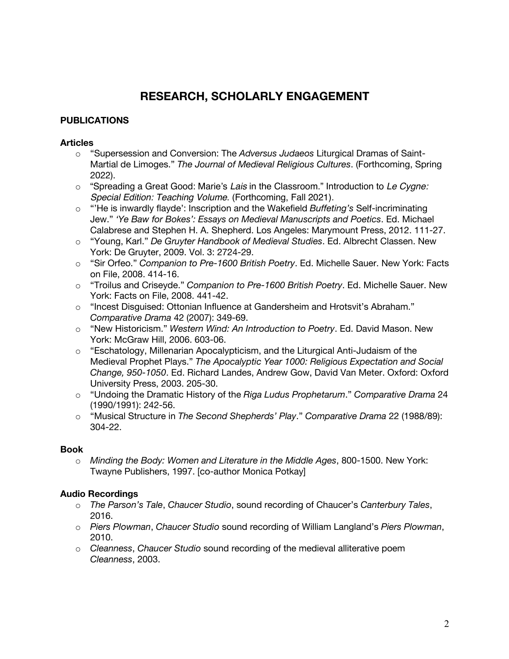# **RESEARCH, SCHOLARLY ENGAGEMENT**

## **PUBLICATIONS**

#### **Articles**

- o "Supersession and Conversion: The *Adversus Judaeos* Liturgical Dramas of Saint-Martial de Limoges." *The Journal of Medieval Religious Cultures*. (Forthcoming, Spring 2022).
- o "Spreading a Great Good: Marie's *Lais* in the Classroom." Introduction to *Le Cygne: Special Edition: Teaching Volume*. (Forthcoming, Fall 2021).
- o "'He is inwardly flayde': Inscription and the Wakefield *Buffeting's* Self-incriminating Jew." *'Ye Baw for Bokes': Essays on Medieval Manuscripts and Poetics*. Ed. Michael Calabrese and Stephen H. A. Shepherd. Los Angeles: Marymount Press, 2012. 111-27.
- o "Young, Karl." *De Gruyter Handbook of Medieval Studies*. Ed. Albrecht Classen. New York: De Gruyter, 2009. Vol. 3: 2724-29.
- o "Sir Orfeo." *Companion to Pre-1600 British Poetry*. Ed. Michelle Sauer. New York: Facts on File, 2008. 414-16.
- o "Troilus and Criseyde." *Companion to Pre-1600 British Poetry*. Ed. Michelle Sauer. New York: Facts on File, 2008. 441-42.
- o "Incest Disguised: Ottonian Influence at Gandersheim and Hrotsvit's Abraham." *Comparative Drama* 42 (2007): 349-69.
- o "New Historicism." *Western Wind: An Introduction to Poetry*. Ed. David Mason. New York: McGraw Hill, 2006. 603-06.
- $\circ$  "Eschatology, Millenarian Apocalypticism, and the Liturgical Anti-Judaism of the Medieval Prophet Plays." *The Apocalyptic Year 1000: Religious Expectation and Social Change, 950-1050*. Ed. Richard Landes, Andrew Gow, David Van Meter. Oxford: Oxford University Press, 2003. 205-30.
- o "Undoing the Dramatic History of the *Riga Ludus Prophetarum*." *Comparative Drama* 24 (1990/1991): 242-56.
- o "Musical Structure in *The Second Shepherds' Play*." *Comparative Drama* 22 (1988/89): 304-22.

#### **Book**

o *Minding the Body: Women and Literature in the Middle Ages*, 800-1500. New York: Twayne Publishers, 1997. [co-author Monica Potkay]

#### **Audio Recordings**

- o *The Parson's Tale*, *Chaucer Studio*, sound recording of Chaucer's *Canterbury Tales*, 2016.
- o *Piers Plowman*, *Chaucer Studio* sound recording of William Langland's *Piers Plowman*, 2010.
- o *Cleanness*, *Chaucer Studio* sound recording of the medieval alliterative poem *Cleanness*, 2003.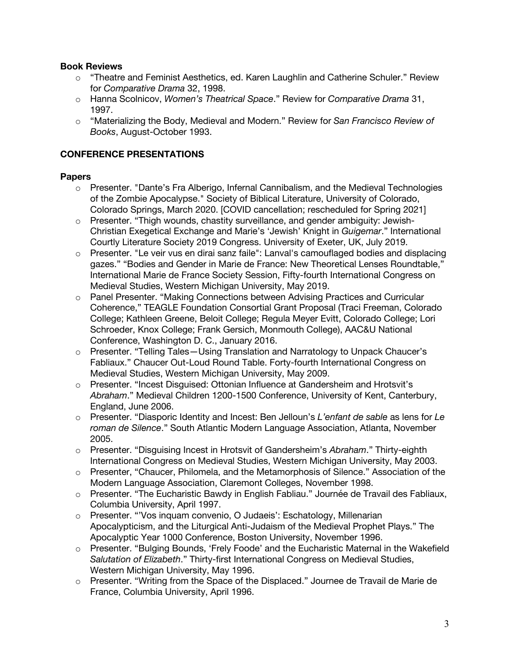### **Book Reviews**

- o "Theatre and Feminist Aesthetics, ed. Karen Laughlin and Catherine Schuler." Review for *Comparative Drama* 32, 1998.
- o Hanna Scolnicov, *Women's Theatrical Space*." Review for *Comparative Drama* 31, 1997.
- o "Materializing the Body, Medieval and Modern." Review for *San Francisco Review of Books*, August-October 1993.

## **CONFERENCE PRESENTATIONS**

#### **Papers**

- o Presenter. "Dante's Fra Alberigo, Infernal Cannibalism, and the Medieval Technologies of the Zombie Apocalypse." Society of Biblical Literature, University of Colorado, Colorado Springs, March 2020. [COVID cancellation; rescheduled for Spring 2021]
- $\circ$  Presenter. "Thigh wounds, chastity surveillance, and gender ambiguity: Jewish-Christian Exegetical Exchange and Marie's 'Jewish' Knight in *Guigemar*." International Courtly Literature Society 2019 Congress. University of Exeter, UK, July 2019.
- $\circ$  Presenter. "Le veir vus en dirai sanz faile": Lanval's camouflaged bodies and displacing gazes." "Bodies and Gender in Marie de France: New Theoretical Lenses Roundtable," International Marie de France Society Session, Fifty-fourth International Congress on Medieval Studies, Western Michigan University, May 2019.
- o Panel Presenter. "Making Connections between Advising Practices and Curricular Coherence," TEAGLE Foundation Consortial Grant Proposal (Traci Freeman, Colorado College; Kathleen Greene, Beloit College; Regula Meyer Evitt, Colorado College; Lori Schroeder, Knox College; Frank Gersich, Monmouth College), AAC&U National Conference, Washington D. C., January 2016.
- o Presenter. "Telling Tales—Using Translation and Narratology to Unpack Chaucer's Fabliaux." Chaucer Out-Loud Round Table. Forty-fourth International Congress on Medieval Studies, Western Michigan University, May 2009.
- o Presenter. "Incest Disguised: Ottonian Influence at Gandersheim and Hrotsvit's *Abraham*." Medieval Children 1200-1500 Conference, University of Kent, Canterbury, England, June 2006.
- o Presenter. "Diasporic Identity and Incest: Ben Jelloun's *L'enfant de sable* as lens for *Le roman de Silence*." South Atlantic Modern Language Association, Atlanta, November 2005.
- o Presenter. "Disguising Incest in Hrotsvit of Gandersheim's *Abraham*." Thirty-eighth International Congress on Medieval Studies, Western Michigan University, May 2003.
- o Presenter, "Chaucer, Philomela, and the Metamorphosis of Silence." Association of the Modern Language Association, Claremont Colleges, November 1998.
- o Presenter. "The Eucharistic Bawdy in English Fabliau." Journée de Travail des Fabliaux, Columbia University, April 1997.
- o Presenter. "'Vos inquam convenio, O Judaeis': Eschatology, Millenarian Apocalypticism, and the Liturgical Anti-Judaism of the Medieval Prophet Plays." The Apocalyptic Year 1000 Conference, Boston University, November 1996.
- o Presenter. "Bulging Bounds, 'Frely Foode' and the Eucharistic Maternal in the Wakefield *Salutation of Elizabeth*." Thirty-first International Congress on Medieval Studies, Western Michigan University, May 1996.
- o Presenter. "Writing from the Space of the Displaced." Journee de Travail de Marie de France, Columbia University, April 1996.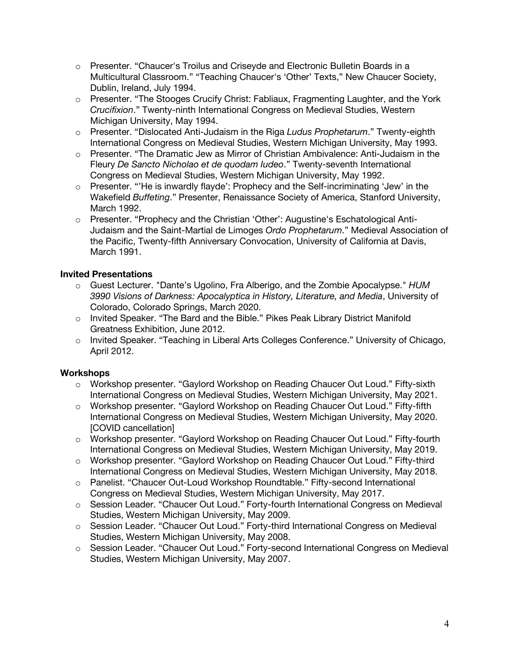- o Presenter. "Chaucer's Troilus and Criseyde and Electronic Bulletin Boards in a Multicultural Classroom." "Teaching Chaucer's 'Other' Texts," New Chaucer Society, Dublin, Ireland, July 1994.
- o Presenter. "The Stooges Crucify Christ: Fabliaux, Fragmenting Laughter, and the York *Crucifixion*." Twenty-ninth International Congress on Medieval Studies, Western Michigan University, May 1994.
- o Presenter. "Dislocated Anti-Judaism in the Riga *Ludus Prophetarum*." Twenty-eighth International Congress on Medieval Studies, Western Michigan University, May 1993.
- o Presenter. "The Dramatic Jew as Mirror of Christian Ambivalence: Anti-Judaism in the Fleury *De Sancto Nicholao et de quodam Iudeo*." Twenty-seventh International Congress on Medieval Studies, Western Michigan University, May 1992.
- o Presenter. "'He is inwardly flayde': Prophecy and the Self-incriminating 'Jew' in the Wakefield *Buffeting*." Presenter, Renaissance Society of America, Stanford University, March 1992.
- o Presenter. "Prophecy and the Christian 'Other': Augustine's Eschatological Anti-Judaism and the Saint-Martial de Limoges *Ordo Prophetarum*." Medieval Association of the Pacific, Twenty-fifth Anniversary Convocation, University of California at Davis, March 1991.

## **Invited Presentations**

- o Guest Lecturer. "Dante's Ugolino, Fra Alberigo, and the Zombie Apocalypse." *HUM 3990 Visions of Darkness: Apocalyptica in History, Literature, and Media*, University of Colorado, Colorado Springs, March 2020.
- o Invited Speaker. "The Bard and the Bible." Pikes Peak Library District Manifold Greatness Exhibition, June 2012.
- o Invited Speaker. "Teaching in Liberal Arts Colleges Conference." University of Chicago, April 2012.

## **Workshops**

- o Workshop presenter. "Gaylord Workshop on Reading Chaucer Out Loud." Fifty-sixth International Congress on Medieval Studies, Western Michigan University, May 2021.
- o Workshop presenter. "Gaylord Workshop on Reading Chaucer Out Loud." Fifty-fifth International Congress on Medieval Studies, Western Michigan University, May 2020. [COVID cancellation]
- o Workshop presenter. "Gaylord Workshop on Reading Chaucer Out Loud." Fifty-fourth International Congress on Medieval Studies, Western Michigan University, May 2019.
- o Workshop presenter. "Gaylord Workshop on Reading Chaucer Out Loud." Fifty-third International Congress on Medieval Studies, Western Michigan University, May 2018.
- o Panelist. "Chaucer Out-Loud Workshop Roundtable." Fifty-second International Congress on Medieval Studies, Western Michigan University, May 2017.
- o Session Leader. "Chaucer Out Loud." Forty-fourth International Congress on Medieval Studies, Western Michigan University, May 2009.
- o Session Leader. "Chaucer Out Loud." Forty-third International Congress on Medieval Studies, Western Michigan University, May 2008.
- o Session Leader. "Chaucer Out Loud." Forty-second International Congress on Medieval Studies, Western Michigan University, May 2007.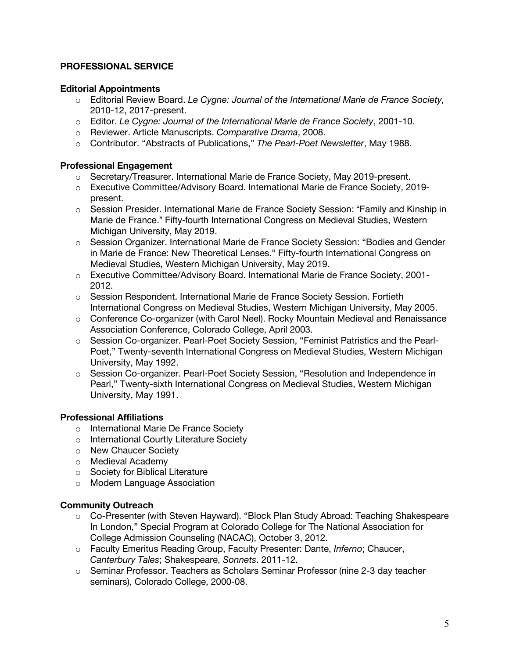## **PROFESSIONAL SERVICE**

#### **Editorial Appointments**

- o Editorial Review Board. *Le Cygne: Journal of the International Marie de France Society,*  2010-12, 2017-present.
- o Editor. *Le Cygne: Journal of the International Marie de France Society*, 2001-10.
- o Reviewer. Article Manuscripts. *Comparative Drama*, 2008.
- o Contributor. "Abstracts of Publications," *The Pearl-Poet Newsletter*, May 1988.

#### **Professional Engagement**

- o Secretary/Treasurer. International Marie de France Society, May 2019-present.
- o Executive Committee/Advisory Board. International Marie de France Society, 2019 present.
- o Session Presider. International Marie de France Society Session: "Family and Kinship in Marie de France." Fifty-fourth International Congress on Medieval Studies, Western Michigan University, May 2019.
- o Session Organizer. International Marie de France Society Session: "Bodies and Gender in Marie de France: New Theoretical Lenses." Fifty-fourth International Congress on Medieval Studies, Western Michigan University, May 2019.
- o Executive Committee/Advisory Board. International Marie de France Society, 2001- 2012.
- o Session Respondent. International Marie de France Society Session. Fortieth International Congress on Medieval Studies, Western Michigan University, May 2005.
- o Conference Co-organizer (with Carol Neel). Rocky Mountain Medieval and Renaissance Association Conference, Colorado College, April 2003.
- o Session Co-organizer. Pearl-Poet Society Session, "Feminist Patristics and the Pearl-Poet," Twenty-seventh International Congress on Medieval Studies, Western Michigan University, May 1992.
- o Session Co-organizer. Pearl-Poet Society Session, "Resolution and Independence in Pearl," Twenty-sixth International Congress on Medieval Studies, Western Michigan University, May 1991.

#### **Professional Affiliations**

- o International Marie De France Society
- o International Courtly Literature Society
- o New Chaucer Society
- o Medieval Academy
- o Society for Biblical Literature
- o Modern Language Association

#### **Community Outreach**

- o Co-Presenter (with Steven Hayward). "Block Plan Study Abroad: Teaching Shakespeare In London," Special Program at Colorado College for The National Association for College Admission Counseling (NACAC), October 3, 2012.
- o Faculty Emeritus Reading Group, Faculty Presenter: Dante, *Inferno*; Chaucer, *Canterbury Tales*; Shakespeare, *Sonnets*. 2011-12.
- o Seminar Professor. Teachers as Scholars Seminar Professor (nine 2-3 day teacher seminars), Colorado College, 2000-08.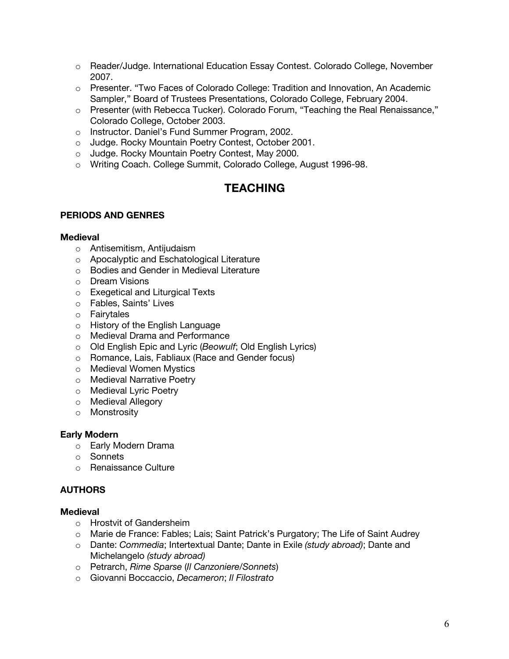- o Reader/Judge. International Education Essay Contest. Colorado College, November 2007.
- o Presenter. "Two Faces of Colorado College: Tradition and Innovation, An Academic Sampler," Board of Trustees Presentations, Colorado College, February 2004.
- o Presenter (with Rebecca Tucker). Colorado Forum, "Teaching the Real Renaissance," Colorado College, October 2003.
- o Instructor. Daniel's Fund Summer Program, 2002.
- o Judge. Rocky Mountain Poetry Contest, October 2001.
- o Judge. Rocky Mountain Poetry Contest, May 2000.
- o Writing Coach. College Summit, Colorado College, August 1996-98.

## **TEACHING**

#### **PERIODS AND GENRES**

#### **Medieval**

- o Antisemitism, Antijudaism
- o Apocalyptic and Eschatological Literature
- o Bodies and Gender in Medieval Literature
- o Dream Visions
- o Exegetical and Liturgical Texts
- o Fables, Saints' Lives
- o Fairytales
- o History of the English Language
- o Medieval Drama and Performance
- o Old English Epic and Lyric (*Beowulf*; Old English Lyrics)
- o Romance, Lais, Fabliaux (Race and Gender focus)
- o Medieval Women Mystics
- o Medieval Narrative Poetry
- o Medieval Lyric Poetry
- o Medieval Allegory
- o Monstrosity

#### **Early Modern**

- o Early Modern Drama
- o Sonnets
- o Renaissance Culture

#### **AUTHORS**

#### **Medieval**

- o Hrostvit of Gandersheim
- o Marie de France: Fables; Lais; Saint Patrick's Purgatory; The Life of Saint Audrey
- o Dante: *Commedia*; Intertextual Dante; Dante in Exile *(study abroad)*; Dante and Michelangelo *(study abroad)*
- o Petrarch, *Rime Sparse* (*Il Canzoniere/Sonnets*)
- o Giovanni Boccaccio, *Decameron*; *Il Filostrato*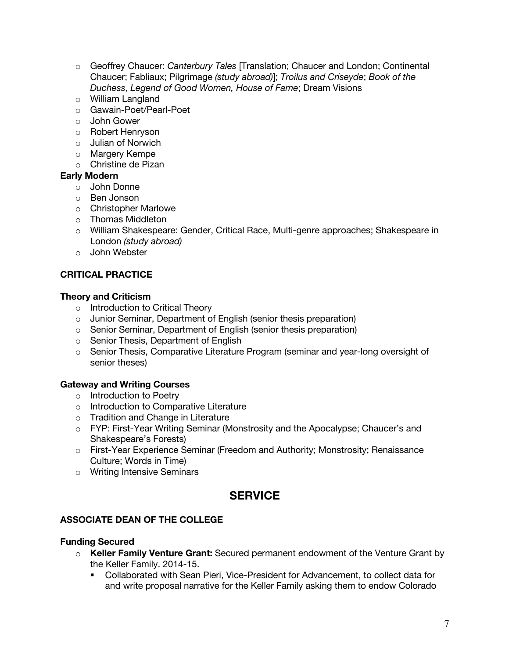- o Geoffrey Chaucer: *Canterbury Tales* [Translation; Chaucer and London; Continental Chaucer; Fabliaux; Pilgrimage *(study abroad)*]; *Troilus and Criseyde*; *Book of the Duchess*, *Legend of Good Women, House of Fame*; Dream Visions
- o William Langland
- o Gawain-Poet/Pearl-Poet
- o John Gower
- o Robert Henryson
- o Julian of Norwich
- o Margery Kempe
- o Christine de Pizan

#### **Early Modern**

- o John Donne
- o Ben Jonson
- o Christopher Marlowe
- o Thomas Middleton
- o William Shakespeare: Gender, Critical Race, Multi-genre approaches; Shakespeare in London *(study abroad)*
- o John Webster

#### **CRITICAL PRACTICE**

#### **Theory and Criticism**

- o Introduction to Critical Theory
- o Junior Seminar, Department of English (senior thesis preparation)
- o Senior Seminar, Department of English (senior thesis preparation)
- o Senior Thesis, Department of English
- o Senior Thesis, Comparative Literature Program (seminar and year-long oversight of senior theses)

#### **Gateway and Writing Courses**

- o Introduction to Poetry
- o Introduction to Comparative Literature
- o Tradition and Change in Literature
- o FYP: First-Year Writing Seminar (Monstrosity and the Apocalypse; Chaucer's and Shakespeare's Forests)
- o First-Year Experience Seminar (Freedom and Authority; Monstrosity; Renaissance Culture; Words in Time)
- o Writing Intensive Seminars

## **SERVICE**

#### **ASSOCIATE DEAN OF THE COLLEGE**

#### **Funding Secured**

- o **Keller Family Venture Grant:** Secured permanent endowment of the Venture Grant by the Keller Family. 2014-15.
	- § Collaborated with Sean Pieri, Vice-President for Advancement, to collect data for and write proposal narrative for the Keller Family asking them to endow Colorado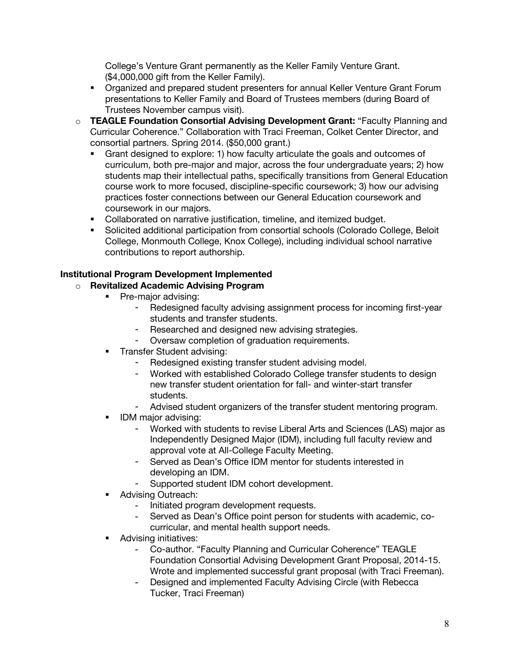College's Venture Grant permanently as the Keller Family Venture Grant. (\$4,000,000 gift from the Keller Family).

- Organized and prepared student presenters for annual Keller Venture Grant Forum presentations to Keller Family and Board of Trustees members (during Board of Trustees November campus visit).
- o **TEAGLE Foundation Consortial Advising Development Grant:** "Faculty Planning and Curricular Coherence." Collaboration with Traci Freeman, Colket Center Director, and consortial partners. Spring 2014. (\$50,000 grant.)
	- § Grant designed to explore: 1) how faculty articulate the goals and outcomes of curriculum, both pre-major and major, across the four undergraduate years; 2) how students map their intellectual paths, specifically transitions from General Education course work to more focused, discipline-specific coursework; 3) how our advising practices foster connections between our General Education coursework and coursework in our majors.
	- Collaborated on narrative justification, timeline, and itemized budget.
	- Solicited additional participation from consortial schools (Colorado College, Beloit College, Monmouth College, Knox College), including individual school narrative contributions to report authorship.

## **Institutional Program Development Implemented**

## o **Revitalized Academic Advising Program**

- Pre-major advising:
	- Redesigned faculty advising assignment process for incoming first-year students and transfer students.
	- Researched and designed new advising strategies.
	- Oversaw completion of graduation requirements.
	- Transfer Student advising:
		- Redesigned existing transfer student advising model.
		- Worked with established Colorado College transfer students to design new transfer student orientation for fall- and winter-start transfer students.
		- Advised student organizers of the transfer student mentoring program.
	- IDM major advising:
		- Worked with students to revise Liberal Arts and Sciences (LAS) major as Independently Designed Major (IDM), including full faculty review and approval vote at All-College Faculty Meeting.
		- Served as Dean's Office IDM mentor for students interested in developing an IDM.
		- Supported student IDM cohort development.
	- § Advising Outreach:
		- Initiated program development requests.
		- Served as Dean's Office point person for students with academic, cocurricular, and mental health support needs.
	- Advising initiatives:
		- Co-author. "Faculty Planning and Curricular Coherence" TEAGLE Foundation Consortial Advising Development Grant Proposal, 2014-15. Wrote and implemented successful grant proposal (with Traci Freeman).
		- Designed and implemented Faculty Advising Circle (with Rebecca Tucker, Traci Freeman)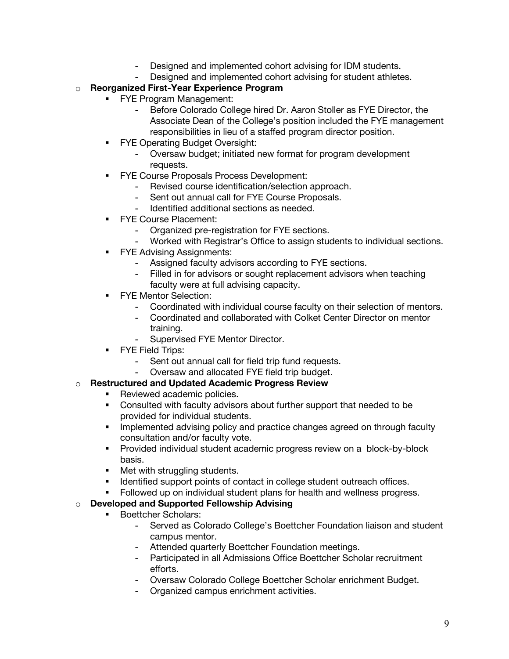- Designed and implemented cohort advising for IDM students.
- Designed and implemented cohort advising for student athletes.

## o **Reorganized First-Year Experience Program**

- FYE Program Management:
	- Before Colorado College hired Dr. Aaron Stoller as FYE Director, the Associate Dean of the College's position included the FYE management responsibilities in lieu of a staffed program director position.
- **FYE Operating Budget Oversight:** 
	- Oversaw budget; initiated new format for program development requests.
- **FYE Course Proposals Process Development:** 
	- Revised course identification/selection approach.
	- Sent out annual call for FYE Course Proposals.
	- Identified additional sections as needed.
- FYE Course Placement:
	- Organized pre-registration for FYE sections.
	- Worked with Registrar's Office to assign students to individual sections.
- FYE Advising Assignments:
	- Assigned faculty advisors according to FYE sections.
	- Filled in for advisors or sought replacement advisors when teaching faculty were at full advising capacity.
- **FYE Mentor Selection:** 
	- Coordinated with individual course faculty on their selection of mentors.
	- Coordinated and collaborated with Colket Center Director on mentor training.
	- Supervised FYE Mentor Director.
- **FYE Field Trips:** 
	- Sent out annual call for field trip fund requests.
	- Oversaw and allocated FYE field trip budget.

## o **Restructured and Updated Academic Progress Review**

- Reviewed academic policies.
- Consulted with faculty advisors about further support that needed to be provided for individual students.
- Implemented advising policy and practice changes agreed on through faculty consultation and/or faculty vote.
- **•** Provided individual student academic progress review on a block-by-block basis.
- **■** Met with struggling students.
- Identified support points of contact in college student outreach offices.
- Followed up on individual student plans for health and wellness progress.

## o **Developed and Supported Fellowship Advising**

- § Boettcher Scholars:
	- Served as Colorado College's Boettcher Foundation liaison and student campus mentor.
	- Attended quarterly Boettcher Foundation meetings.
	- Participated in all Admissions Office Boettcher Scholar recruitment efforts.
	- Oversaw Colorado College Boettcher Scholar enrichment Budget.
	- Organized campus enrichment activities.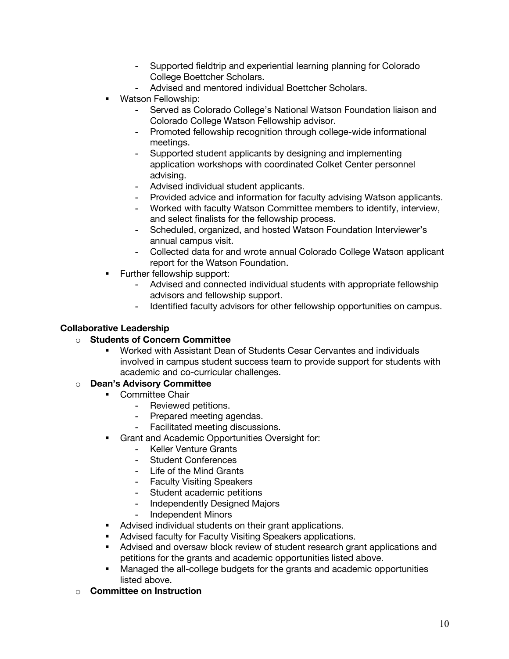- Supported fieldtrip and experiential learning planning for Colorado College Boettcher Scholars.
- Advised and mentored individual Boettcher Scholars.
- § Watson Fellowship:
	- Served as Colorado College's National Watson Foundation liaison and Colorado College Watson Fellowship advisor.
	- Promoted fellowship recognition through college-wide informational meetings.
	- Supported student applicants by designing and implementing application workshops with coordinated Colket Center personnel advising.
	- Advised individual student applicants.
	- Provided advice and information for faculty advising Watson applicants.
	- Worked with faculty Watson Committee members to identify, interview, and select finalists for the fellowship process.
	- Scheduled, organized, and hosted Watson Foundation Interviewer's annual campus visit.
	- Collected data for and wrote annual Colorado College Watson applicant report for the Watson Foundation.
- Further fellowship support:
	- Advised and connected individual students with appropriate fellowship advisors and fellowship support.
	- Identified faculty advisors for other fellowship opportunities on campus.

### **Collaborative Leadership**

#### o **Students of Concern Committee**

§ Worked with Assistant Dean of Students Cesar Cervantes and individuals involved in campus student success team to provide support for students with academic and co-curricular challenges.

### o **Dean's Advisory Committee**

- Committee Chair
	- Reviewed petitions.
	- Prepared meeting agendas.
	- Facilitated meeting discussions.
- **Grant and Academic Opportunities Oversight for:** 
	- Keller Venture Grants
	- Student Conferences
	- Life of the Mind Grants
	- Faculty Visiting Speakers
	- Student academic petitions
	- Independently Designed Majors
	- Independent Minors
- Advised individual students on their grant applications.
- **Advised faculty for Faculty Visiting Speakers applications.**
- § Advised and oversaw block review of student research grant applications and petitions for the grants and academic opportunities listed above.
- § Managed the all-college budgets for the grants and academic opportunities listed above.
- o **Committee on Instruction**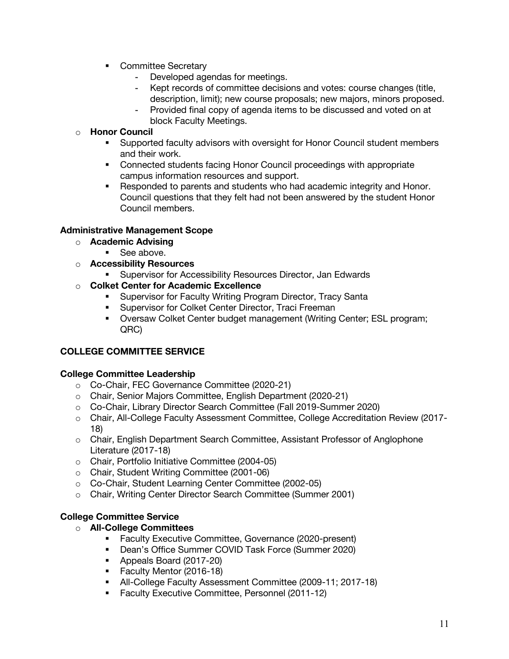- Committee Secretary
	- Developed agendas for meetings.
	- Kept records of committee decisions and votes: course changes (title, description, limit); new course proposals; new majors, minors proposed.
	- Provided final copy of agenda items to be discussed and voted on at block Faculty Meetings.

### o **Honor Council**

- § Supported faculty advisors with oversight for Honor Council student members and their work.
- Connected students facing Honor Council proceedings with appropriate campus information resources and support.
- § Responded to parents and students who had academic integrity and Honor. Council questions that they felt had not been answered by the student Honor Council members.

## **Administrative Management Scope**

- o **Academic Advising**
	- See above.
- o **Accessibility Resources**
	- § Supervisor for Accessibility Resources Director, Jan Edwards

## o **Colket Center for Academic Excellence**

- Supervisor for Faculty Writing Program Director, Tracy Santa
- **Supervisor for Colket Center Director, Traci Freeman**
- § Oversaw Colket Center budget management (Writing Center; ESL program; QRC)

## **COLLEGE COMMITTEE SERVICE**

## **College Committee Leadership**

- o Co-Chair, FEC Governance Committee (2020-21)
- o Chair, Senior Majors Committee, English Department (2020-21)
- o Co-Chair, Library Director Search Committee (Fall 2019-Summer 2020)
- o Chair, All-College Faculty Assessment Committee, College Accreditation Review (2017- 18)
- o Chair, English Department Search Committee, Assistant Professor of Anglophone Literature (2017-18)
- o Chair, Portfolio Initiative Committee (2004-05)
- o Chair, Student Writing Committee (2001-06)
- o Co-Chair, Student Learning Center Committee (2002-05)
- o Chair, Writing Center Director Search Committee (Summer 2001)

## **College Committee Service**

#### o **All-College Committees**

- § Faculty Executive Committee, Governance (2020-present)
- § Dean's Office Summer COVID Task Force (Summer 2020)
- Appeals Board (2017-20)
- § Faculty Mentor (2016-18)
- § All-College Faculty Assessment Committee (2009-11; 2017-18)
- § Faculty Executive Committee, Personnel (2011-12)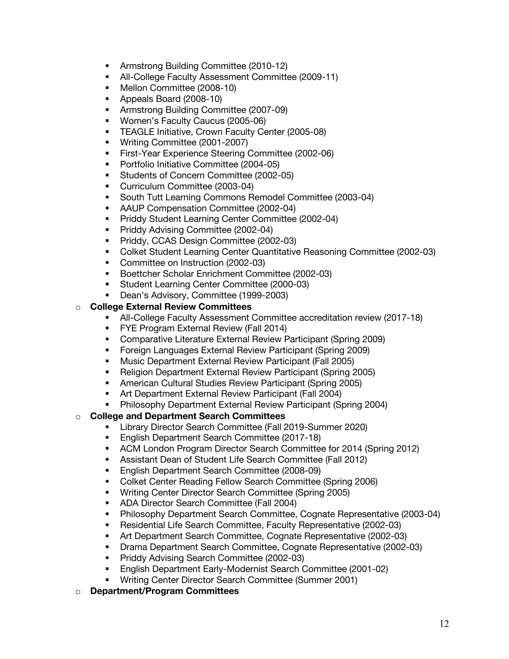- Armstrong Building Committee (2010-12)
- § All-College Faculty Assessment Committee (2009-11)
- Mellon Committee (2008-10)
- § Appeals Board (2008-10)
- Armstrong Building Committee (2007-09)
- § Women's Faculty Caucus (2005-06)
- § TEAGLE Initiative, Crown Faculty Center (2005-08)
- § Writing Committee (2001-2007)
- § First-Year Experience Steering Committee (2002-06)
- § Portfolio Initiative Committee (2004-05)
- Students of Concern Committee (2002-05)
- Curriculum Committee (2003-04)
- § South Tutt Learning Commons Remodel Committee (2003-04)
- AAUP Compensation Committee (2002-04)
- § Priddy Student Learning Center Committee (2002-04)
- Priddy Advising Committee (2002-04)
- Priddy, CCAS Design Committee (2002-03)
- § Colket Student Learning Center Quantitative Reasoning Committee (2002-03)
- Committee on Instruction (2002-03)
- § Boettcher Scholar Enrichment Committee (2002-03)
- § Student Learning Center Committee (2000-03)
- § Dean's Advisory, Committee (1999-2003)

## o **College External Review Committees**

- All-College Faculty Assessment Committee accreditation review (2017-18)
- **FYE Program External Review (Fall 2014)**
- Comparative Literature External Review Participant (Spring 2009)
- § Foreign Languages External Review Participant (Spring 2009)
- § Music Department External Review Participant (Fall 2005)
- Religion Department External Review Participant (Spring 2005)
- § American Cultural Studies Review Participant (Spring 2005)
- § Art Department External Review Participant (Fall 2004)
- § Philosophy Department External Review Participant (Spring 2004)
- o **College and Department Search Committees**
	- § Library Director Search Committee (Fall 2019-Summer 2020)
	- English Department Search Committee (2017-18)
	- § ACM London Program Director Search Committee for 2014 (Spring 2012)
	- § Assistant Dean of Student Life Search Committee (Fall 2012)
	- English Department Search Committee (2008-09)
	- § Colket Center Reading Fellow Search Committee (Spring 2006)
	- § Writing Center Director Search Committee (Spring 2005)
	- § ADA Director Search Committee (Fall 2004)
	- § Philosophy Department Search Committee, Cognate Representative (2003-04)
	- § Residential Life Search Committee, Faculty Representative (2002-03)
	- § Art Department Search Committee, Cognate Representative (2002-03)
	- § Drama Department Search Committee, Cognate Representative (2002-03)
	- § Priddy Advising Search Committee (2002-03)
	- § English Department Early-Modernist Search Committee (2001-02)
	- § Writing Center Director Search Committee (Summer 2001)
- o **Department/Program Committees**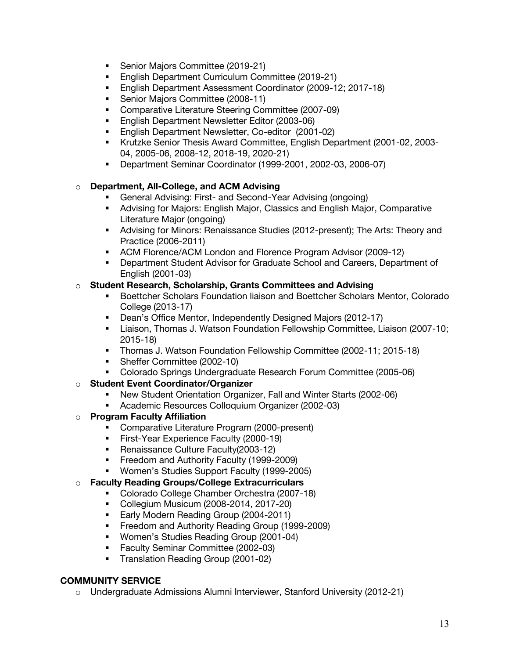- Senior Maiors Committee (2019-21)
- § English Department Curriculum Committee (2019-21)
- English Department Assessment Coordinator (2009-12: 2017-18)
- Senior Majors Committee (2008-11)
- § Comparative Literature Steering Committee (2007-09)
- English Department Newsletter Editor (2003-06)
- § English Department Newsletter, Co-editor (2001-02)
- § Krutzke Senior Thesis Award Committee, English Department (2001-02, 2003- 04, 2005-06, 2008-12, 2018-19, 2020-21)
- § Department Seminar Coordinator (1999-2001, 2002-03, 2006-07)

#### o **Department, All-College, and ACM Advising**

- § General Advising: First- and Second-Year Advising (ongoing)
- § Advising for Majors: English Major, Classics and English Major, Comparative Literature Major (ongoing)
- Advising for Minors: Renaissance Studies (2012-present); The Arts: Theory and Practice (2006-2011)
- ACM Florence/ACM London and Florence Program Advisor (2009-12)
- § Department Student Advisor for Graduate School and Careers, Department of English (2001-03)

## o **Student Research, Scholarship, Grants Committees and Advising**

- Boettcher Scholars Foundation liaison and Boettcher Scholars Mentor, Colorado College (2013-17)
- Dean's Office Mentor, Independently Designed Majors (2012-17)
- **E** Liaison, Thomas J. Watson Foundation Fellowship Committee, Liaison (2007-10; 2015-18)
- § Thomas J. Watson Foundation Fellowship Committee (2002-11; 2015-18)
- § Sheffer Committee (2002-10)
- § Colorado Springs Undergraduate Research Forum Committee (2005-06)
- o **Student Event Coordinator/Organizer**
	- § New Student Orientation Organizer, Fall and Winter Starts (2002-06)
	- § Academic Resources Colloquium Organizer (2002-03)
- o **Program Faculty Affiliation**
	- Comparative Literature Program (2000-present)
	- First-Year Experience Faculty (2000-19)
	- Renaissance Culture Faculty(2003-12)
	- § Freedom and Authority Faculty (1999-2009)
	- § Women's Studies Support Faculty (1999-2005)
- o **Faculty Reading Groups/College Extracurriculars**
	- Colorado College Chamber Orchestra (2007-18)
	- § Collegium Musicum (2008-2014, 2017-20)
	- Early Modern Reading Group (2004-2011)
	- Freedom and Authority Reading Group (1999-2009)
	- § Women's Studies Reading Group (2001-04)
	- Faculty Seminar Committee (2002-03)
	- Translation Reading Group (2001-02)

#### **COMMUNITY SERVICE**

o Undergraduate Admissions Alumni Interviewer, Stanford University (2012-21)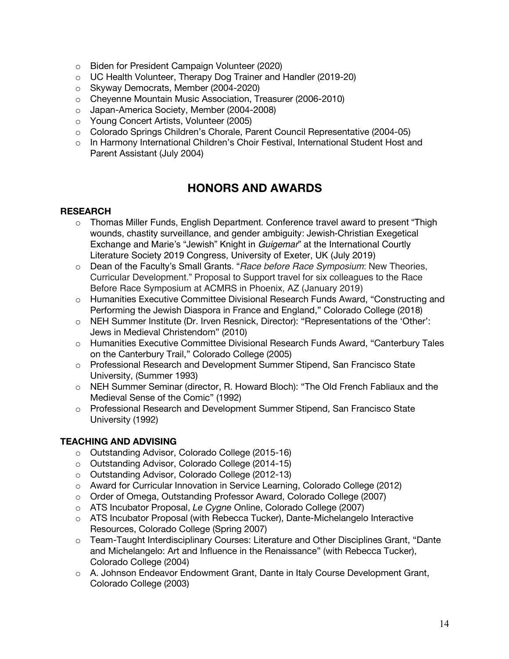- o Biden for President Campaign Volunteer (2020)
- o UC Health Volunteer, Therapy Dog Trainer and Handler (2019-20)
- o Skyway Democrats, Member (2004-2020)
- o Cheyenne Mountain Music Association, Treasurer (2006-2010)
- o Japan-America Society, Member (2004-2008)
- o Young Concert Artists, Volunteer (2005)
- o Colorado Springs Children's Chorale, Parent Council Representative (2004-05)
- o In Harmony International Children's Choir Festival, International Student Host and Parent Assistant (July 2004)

# **HONORS AND AWARDS**

## **RESEARCH**

- $\circ$  Thomas Miller Funds, English Department. Conference travel award to present "Thigh wounds, chastity surveillance, and gender ambiguity: Jewish-Christian Exegetical Exchange and Marie's "Jewish" Knight in *Guigemar*" at the International Courtly Literature Society 2019 Congress, University of Exeter, UK (July 2019)
- o Dean of the Faculty's Small Grants. "*Race before Race Symposium*: New Theories, Curricular Development." Proposal to Support travel for six colleagues to the Race Before Race Symposium at ACMRS in Phoenix, AZ (January 2019)
- o Humanities Executive Committee Divisional Research Funds Award, "Constructing and Performing the Jewish Diaspora in France and England," Colorado College (2018)
- o NEH Summer Institute (Dr. Irven Resnick, Director): "Representations of the 'Other': Jews in Medieval Christendom" (2010)
- o Humanities Executive Committee Divisional Research Funds Award, "Canterbury Tales on the Canterbury Trail," Colorado College (2005)
- o Professional Research and Development Summer Stipend, San Francisco State University, (Summer 1993)
- o NEH Summer Seminar (director, R. Howard Bloch): "The Old French Fabliaux and the Medieval Sense of the Comic" (1992)
- o Professional Research and Development Summer Stipend, San Francisco State University (1992)

## **TEACHING AND ADVISING**

- o Outstanding Advisor, Colorado College (2015-16)
- o Outstanding Advisor, Colorado College (2014-15)
- o Outstanding Advisor, Colorado College (2012-13)
- o Award for Curricular Innovation in Service Learning, Colorado College (2012)
- o Order of Omega, Outstanding Professor Award, Colorado College (2007)
- o ATS Incubator Proposal, *Le Cygne* Online, Colorado College (2007)
- o ATS Incubator Proposal (with Rebecca Tucker), Dante-Michelangelo Interactive Resources, Colorado College (Spring 2007)
- o Team-Taught Interdisciplinary Courses: Literature and Other Disciplines Grant, "Dante and Michelangelo: Art and Influence in the Renaissance" (with Rebecca Tucker), Colorado College (2004)
- o A. Johnson Endeavor Endowment Grant, Dante in Italy Course Development Grant, Colorado College (2003)